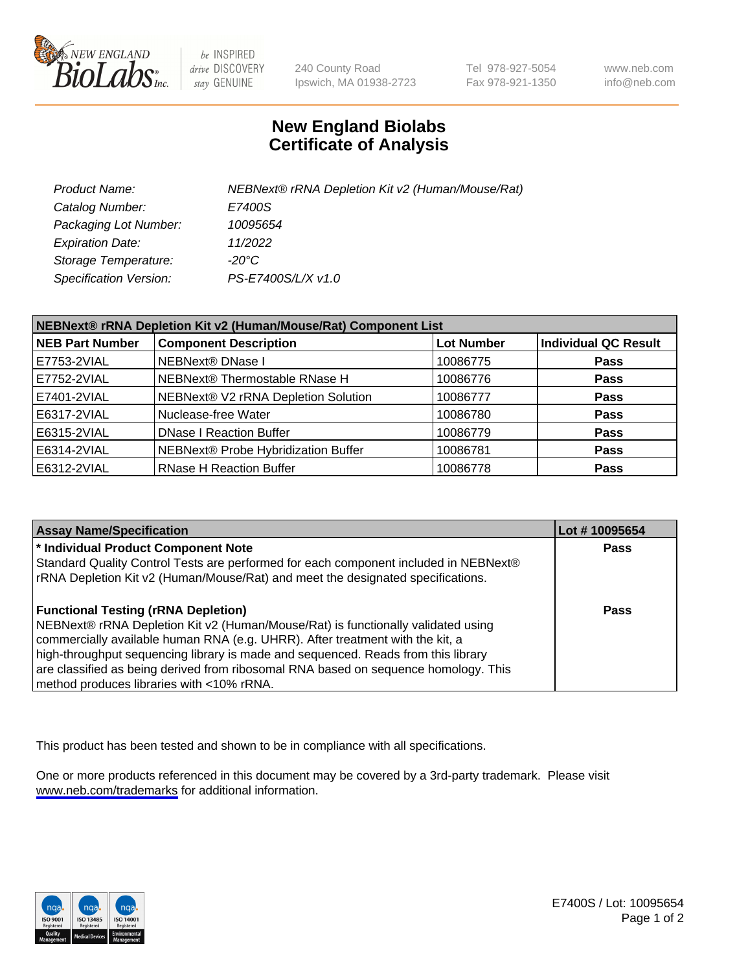

be INSPIRED drive DISCOVERY stay GENUINE

240 County Road Ipswich, MA 01938-2723 Tel 978-927-5054 Fax 978-921-1350

www.neb.com info@neb.com

## **New England Biolabs Certificate of Analysis**

| Product Name:           | NEBNext® rRNA Depletion Kit v2 (Human/Mouse/Rat) |
|-------------------------|--------------------------------------------------|
| Catalog Number:         | E7400S                                           |
| Packaging Lot Number:   | 10095654                                         |
| <b>Expiration Date:</b> | 11/2022                                          |
| Storage Temperature:    | -20°C                                            |
| Specification Version:  | PS-E7400S/L/X v1.0                               |

| NEBNext® rRNA Depletion Kit v2 (Human/Mouse/Rat) Component List |                                     |                   |                             |  |
|-----------------------------------------------------------------|-------------------------------------|-------------------|-----------------------------|--|
| <b>NEB Part Number</b>                                          | <b>Component Description</b>        | <b>Lot Number</b> | <b>Individual QC Result</b> |  |
| E7753-2VIAL                                                     | NEBNext® DNase I                    | 10086775          | <b>Pass</b>                 |  |
| E7752-2VIAL                                                     | NEBNext® Thermostable RNase H       | 10086776          | <b>Pass</b>                 |  |
| E7401-2VIAL                                                     | NEBNext® V2 rRNA Depletion Solution | 10086777          | <b>Pass</b>                 |  |
| E6317-2VIAL                                                     | Nuclease-free Water                 | 10086780          | <b>Pass</b>                 |  |
| E6315-2VIAL                                                     | <b>DNase I Reaction Buffer</b>      | 10086779          | <b>Pass</b>                 |  |
| E6314-2VIAL                                                     | NEBNext® Probe Hybridization Buffer | 10086781          | <b>Pass</b>                 |  |
| E6312-2VIAL                                                     | <b>RNase H Reaction Buffer</b>      | 10086778          | <b>Pass</b>                 |  |

| <b>Assay Name/Specification</b>                                                      | Lot #10095654 |
|--------------------------------------------------------------------------------------|---------------|
| * Individual Product Component Note                                                  | <b>Pass</b>   |
| Standard Quality Control Tests are performed for each component included in NEBNext® |               |
| rRNA Depletion Kit v2 (Human/Mouse/Rat) and meet the designated specifications.      |               |
| <b>Functional Testing (rRNA Depletion)</b>                                           | Pass          |
| NEBNext® rRNA Depletion Kit v2 (Human/Mouse/Rat) is functionally validated using     |               |
| commercially available human RNA (e.g. UHRR). After treatment with the kit, a        |               |
| high-throughput sequencing library is made and sequenced. Reads from this library    |               |
| are classified as being derived from ribosomal RNA based on sequence homology. This  |               |
| method produces libraries with <10% rRNA.                                            |               |

This product has been tested and shown to be in compliance with all specifications.

One or more products referenced in this document may be covered by a 3rd-party trademark. Please visit <www.neb.com/trademarks>for additional information.